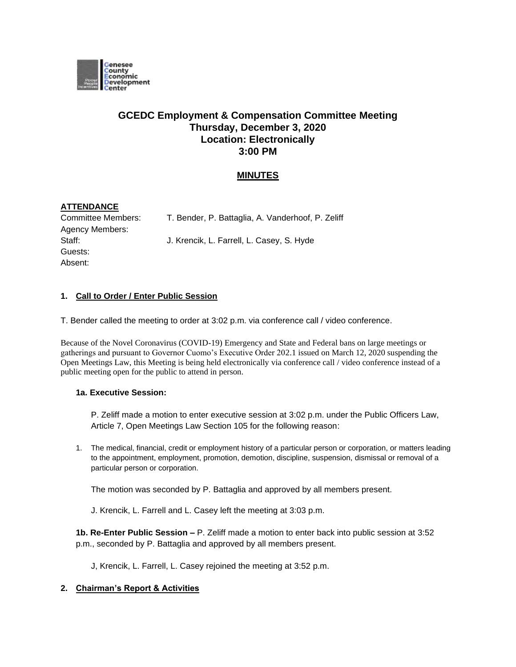

# **GCEDC Employment & Compensation Committee Meeting Thursday, December 3, 2020 Location: Electronically 3:00 PM**

## **MINUTES**

## **ATTENDANCE**

Committee Members: T. Bender, P. Battaglia, A. Vanderhoof, P. Zeliff Agency Members: Guests: Absent:

Staff: **J. Krencik, L. Farrell, L. Casey, S. Hyde** 

#### **1. Call to Order / Enter Public Session**

T. Bender called the meeting to order at 3:02 p.m. via conference call / video conference.

Because of the Novel Coronavirus (COVID-19) Emergency and State and Federal bans on large meetings or gatherings and pursuant to Governor Cuomo's Executive Order 202.1 issued on March 12, 2020 suspending the Open Meetings Law, this Meeting is being held electronically via conference call / video conference instead of a public meeting open for the public to attend in person.

#### **1a. Executive Session:**

P. Zeliff made a motion to enter executive session at 3:02 p.m. under the Public Officers Law, Article 7, Open Meetings Law Section 105 for the following reason:

1. The medical, financial, credit or employment history of a particular person or corporation, or matters leading to the appointment, employment, promotion, demotion, discipline, suspension, dismissal or removal of a particular person or corporation.

The motion was seconded by P. Battaglia and approved by all members present.

J. Krencik, L. Farrell and L. Casey left the meeting at 3:03 p.m.

**1b. Re-Enter Public Session –** P. Zeliff made a motion to enter back into public session at 3:52 p.m., seconded by P. Battaglia and approved by all members present.

J, Krencik, L. Farrell, L. Casey rejoined the meeting at 3:52 p.m.

### **2. Chairman's Report & Activities**